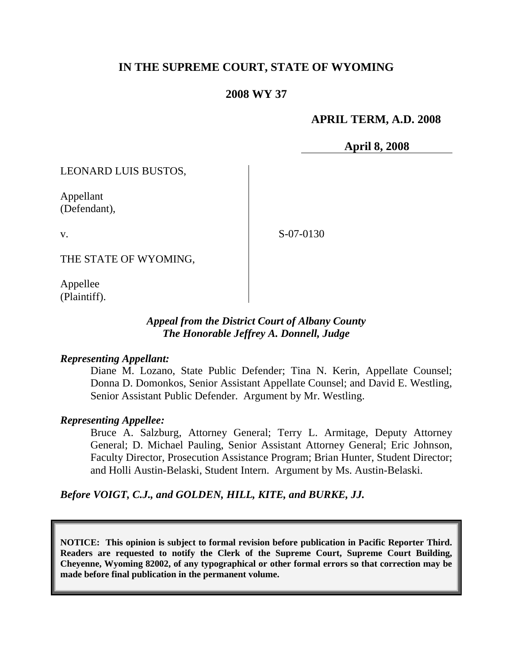# **IN THE SUPREME COURT, STATE OF WYOMING**

## **2008 WY 37**

## **APRIL TERM, A.D. 2008**

**April 8, 2008**

LEONARD LUIS BUSTOS,

Appellant (Defendant),

v.

S-07-0130

THE STATE OF WYOMING,

Appellee (Plaintiff).

### *Appeal from the District Court of Albany County The Honorable Jeffrey A. Donnell, Judge*

### *Representing Appellant:*

Diane M. Lozano, State Public Defender; Tina N. Kerin, Appellate Counsel; Donna D. Domonkos, Senior Assistant Appellate Counsel; and David E. Westling, Senior Assistant Public Defender. Argument by Mr. Westling.

### *Representing Appellee:*

Bruce A. Salzburg, Attorney General; Terry L. Armitage, Deputy Attorney General; D. Michael Pauling, Senior Assistant Attorney General; Eric Johnson, Faculty Director, Prosecution Assistance Program; Brian Hunter, Student Director; and Holli Austin-Belaski, Student Intern. Argument by Ms. Austin-Belaski.

### *Before VOIGT, C.J., and GOLDEN, HILL, KITE, and BURKE, JJ.*

**NOTICE: This opinion is subject to formal revision before publication in Pacific Reporter Third. Readers are requested to notify the Clerk of the Supreme Court, Supreme Court Building, Cheyenne, Wyoming 82002, of any typographical or other formal errors so that correction may be made before final publication in the permanent volume.**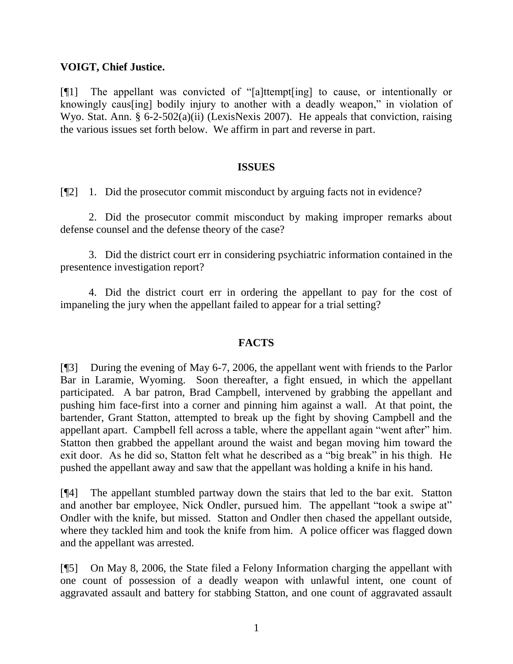## **VOIGT, Chief Justice.**

 $[$ [[1] The appellant was convicted of "[a]ttempt[ing] to cause, or intentionally or knowingly caus [ing] bodily injury to another with a deadly weapon," in violation of Wyo. Stat. Ann. § 6-2-502(a)(ii) (LexisNexis 2007). He appeals that conviction, raising the various issues set forth below. We affirm in part and reverse in part.

### **ISSUES**

[¶2] 1. Did the prosecutor commit misconduct by arguing facts not in evidence?

2. Did the prosecutor commit misconduct by making improper remarks about defense counsel and the defense theory of the case?

3. Did the district court err in considering psychiatric information contained in the presentence investigation report?

4. Did the district court err in ordering the appellant to pay for the cost of impaneling the jury when the appellant failed to appear for a trial setting?

### **FACTS**

[¶3] During the evening of May 6-7, 2006, the appellant went with friends to the Parlor Bar in Laramie, Wyoming. Soon thereafter, a fight ensued, in which the appellant participated. A bar patron, Brad Campbell, intervened by grabbing the appellant and pushing him face-first into a corner and pinning him against a wall. At that point, the bartender, Grant Statton, attempted to break up the fight by shoving Campbell and the appellant apart. Campbell fell across a table, where the appellant again "went after" him. Statton then grabbed the appellant around the waist and began moving him toward the exit door. As he did so, Statton felt what he described as a "big break" in his thigh. He pushed the appellant away and saw that the appellant was holding a knife in his hand.

[¶4] The appellant stumbled partway down the stairs that led to the bar exit. Statton and another bar employee, Nick Ondler, pursued him. The appellant "took a swipe at" Ondler with the knife, but missed. Statton and Ondler then chased the appellant outside, where they tackled him and took the knife from him. A police officer was flagged down and the appellant was arrested.

[¶5] On May 8, 2006, the State filed a Felony Information charging the appellant with one count of possession of a deadly weapon with unlawful intent, one count of aggravated assault and battery for stabbing Statton, and one count of aggravated assault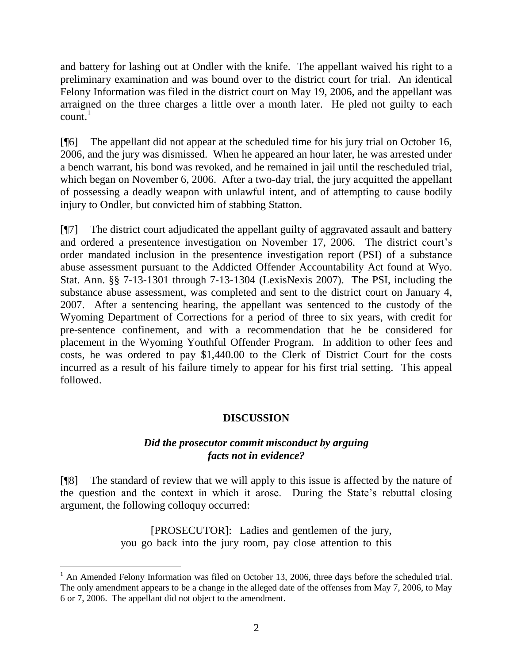and battery for lashing out at Ondler with the knife. The appellant waived his right to a preliminary examination and was bound over to the district court for trial. An identical Felony Information was filed in the district court on May 19, 2006, and the appellant was arraigned on the three charges a little over a month later. He pled not guilty to each  $count<sup>1</sup>$ 

[¶6] The appellant did not appear at the scheduled time for his jury trial on October 16, 2006, and the jury was dismissed. When he appeared an hour later, he was arrested under a bench warrant, his bond was revoked, and he remained in jail until the rescheduled trial, which began on November 6, 2006. After a two-day trial, the jury acquitted the appellant of possessing a deadly weapon with unlawful intent, and of attempting to cause bodily injury to Ondler, but convicted him of stabbing Statton.

[¶7] The district court adjudicated the appellant guilty of aggravated assault and battery and ordered a presentence investigation on November 17, 2006. The district court's order mandated inclusion in the presentence investigation report (PSI) of a substance abuse assessment pursuant to the Addicted Offender Accountability Act found at Wyo. Stat. Ann. §§ 7-13-1301 through 7-13-1304 (LexisNexis 2007). The PSI, including the substance abuse assessment, was completed and sent to the district court on January 4, 2007. After a sentencing hearing, the appellant was sentenced to the custody of the Wyoming Department of Corrections for a period of three to six years, with credit for pre-sentence confinement, and with a recommendation that he be considered for placement in the Wyoming Youthful Offender Program. In addition to other fees and costs, he was ordered to pay \$1,440.00 to the Clerk of District Court for the costs incurred as a result of his failure timely to appear for his first trial setting. This appeal followed.

# **DISCUSSION**

# *Did the prosecutor commit misconduct by arguing facts not in evidence?*

[¶8] The standard of review that we will apply to this issue is affected by the nature of the question and the context in which it arose. During the State's rebuttal closing argument, the following colloquy occurred:

> [PROSECUTOR]: Ladies and gentlemen of the jury, you go back into the jury room, pay close attention to this

<sup>&</sup>lt;sup>1</sup> An Amended Felony Information was filed on October 13, 2006, three days before the scheduled trial. The only amendment appears to be a change in the alleged date of the offenses from May 7, 2006, to May 6 or 7, 2006. The appellant did not object to the amendment.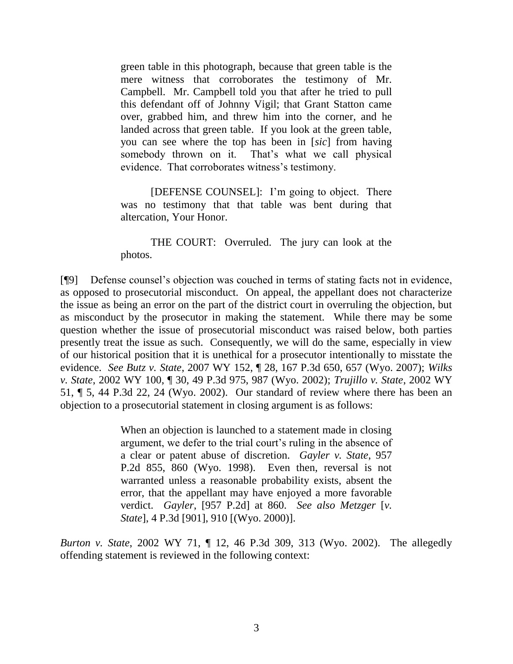green table in this photograph, because that green table is the mere witness that corroborates the testimony of Mr. Campbell. Mr. Campbell told you that after he tried to pull this defendant off of Johnny Vigil; that Grant Statton came over, grabbed him, and threw him into the corner, and he landed across that green table. If you look at the green table, you can see where the top has been in [*sic*] from having somebody thrown on it. That's what we call physical evidence. That corroborates witness's testimony.

[DEFENSE COUNSEL]: I'm going to object. There was no testimony that that table was bent during that altercation, Your Honor.

THE COURT: Overruled. The jury can look at the photos.

[¶9] Defense counsel's objection was couched in terms of stating facts not in evidence, as opposed to prosecutorial misconduct. On appeal, the appellant does not characterize the issue as being an error on the part of the district court in overruling the objection, but as misconduct by the prosecutor in making the statement. While there may be some question whether the issue of prosecutorial misconduct was raised below, both parties presently treat the issue as such. Consequently, we will do the same, especially in view of our historical position that it is unethical for a prosecutor intentionally to misstate the evidence. *See Butz v. State*, 2007 WY 152, ¶ 28, 167 P.3d 650, 657 (Wyo. 2007); *Wilks v. State*, 2002 WY 100, ¶ 30, 49 P.3d 975, 987 (Wyo. 2002); *Trujillo v. State*, 2002 WY 51, ¶ 5, 44 P.3d 22, 24 (Wyo. 2002). Our standard of review where there has been an objection to a prosecutorial statement in closing argument is as follows:

> When an objection is launched to a statement made in closing argument, we defer to the trial court's ruling in the absence of a clear or patent abuse of discretion. *Gayler v. State*, 957 P.2d 855, 860 (Wyo. 1998). Even then, reversal is not warranted unless a reasonable probability exists, absent the error, that the appellant may have enjoyed a more favorable verdict. *Gayler*, [957 P.2d] at 860. *See also Metzger* [*v. State*], 4 P.3d [901], 910 [(Wyo. 2000)].

*Burton v. State*, 2002 WY 71, ¶ 12, 46 P.3d 309, 313 (Wyo. 2002). The allegedly offending statement is reviewed in the following context: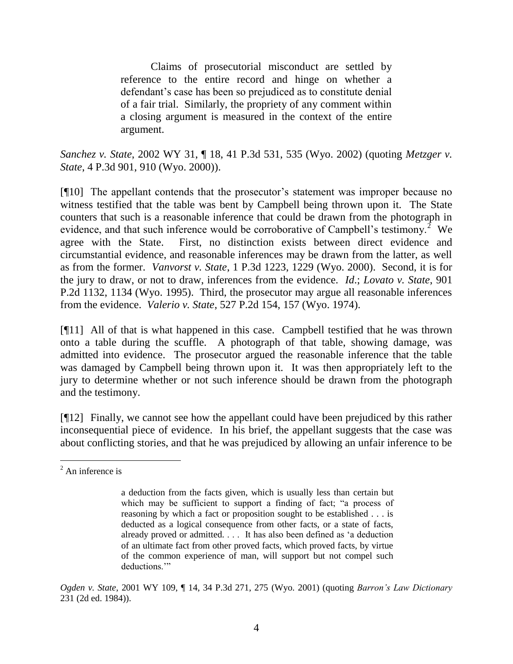Claims of prosecutorial misconduct are settled by reference to the entire record and hinge on whether a defendant's case has been so prejudiced as to constitute denial of a fair trial. Similarly, the propriety of any comment within a closing argument is measured in the context of the entire argument.

*Sanchez v. State*, 2002 WY 31, ¶ 18, 41 P.3d 531, 535 (Wyo. 2002) (quoting *Metzger v. State*, 4 P.3d 901, 910 (Wyo. 2000)).

[¶10] The appellant contends that the prosecutor's statement was improper because no witness testified that the table was bent by Campbell being thrown upon it. The State counters that such is a reasonable inference that could be drawn from the photograph in evidence, and that such inference would be corroborative of Campbell's testimony.<sup>2</sup> We agree with the State. First, no distinction exists between direct evidence and circumstantial evidence, and reasonable inferences may be drawn from the latter, as well as from the former. *Vanvorst v. State*, 1 P.3d 1223, 1229 (Wyo. 2000). Second, it is for the jury to draw, or not to draw, inferences from the evidence. *Id*.; *Lovato v. State*, 901 P.2d 1132, 1134 (Wyo. 1995). Third, the prosecutor may argue all reasonable inferences from the evidence. *Valerio v. State*, 527 P.2d 154, 157 (Wyo. 1974).

[¶11] All of that is what happened in this case. Campbell testified that he was thrown onto a table during the scuffle. A photograph of that table, showing damage, was admitted into evidence. The prosecutor argued the reasonable inference that the table was damaged by Campbell being thrown upon it. It was then appropriately left to the jury to determine whether or not such inference should be drawn from the photograph and the testimony.

[¶12] Finally, we cannot see how the appellant could have been prejudiced by this rather inconsequential piece of evidence. In his brief, the appellant suggests that the case was about conflicting stories, and that he was prejudiced by allowing an unfair inference to be

 $\overline{a}$ 

 $<sup>2</sup>$  An inference is</sup>

a deduction from the facts given, which is usually less than certain but which may be sufficient to support a finding of fact; "a process of reasoning by which a fact or proposition sought to be established . . . is deducted as a logical consequence from other facts, or a state of facts, already proved or admitted. . . . It has also been defined as 'a deduction of an ultimate fact from other proved facts, which proved facts, by virtue of the common experience of man, will support but not compel such deductions."

*Ogden v. State*, 2001 WY 109, ¶ 14, 34 P.3d 271, 275 (Wyo. 2001) (quoting *Barron's Law Dictionary* 231 (2d ed. 1984)).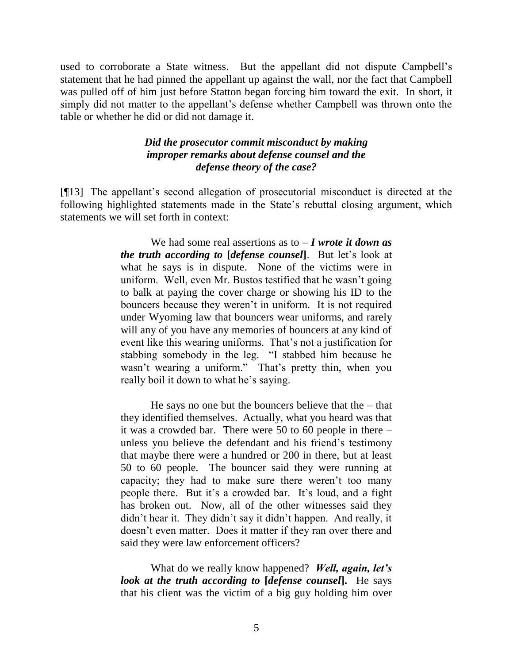used to corroborate a State witness. But the appellant did not dispute Campbell's statement that he had pinned the appellant up against the wall, nor the fact that Campbell was pulled off of him just before Statton began forcing him toward the exit. In short, it simply did not matter to the appellant's defense whether Campbell was thrown onto the table or whether he did or did not damage it.

## *Did the prosecutor commit misconduct by making improper remarks about defense counsel and the defense theory of the case?*

[¶13] The appellant's second allegation of prosecutorial misconduct is directed at the following highlighted statements made in the State's rebuttal closing argument, which statements we will set forth in context:

> We had some real assertions as to – *I wrote it down as the truth according to* **[***defense counsel***]**. But let's look at what he says is in dispute. None of the victims were in uniform. Well, even Mr. Bustos testified that he wasn't going to balk at paying the cover charge or showing his ID to the bouncers because they weren't in uniform. It is not required under Wyoming law that bouncers wear uniforms, and rarely will any of you have any memories of bouncers at any kind of event like this wearing uniforms. That's not a justification for stabbing somebody in the leg. "I stabbed him because he wasn't wearing a uniform." That's pretty thin, when you really boil it down to what he's saying.

> He says no one but the bouncers believe that the  $-$  that they identified themselves. Actually, what you heard was that it was a crowded bar. There were 50 to 60 people in there – unless you believe the defendant and his friend's testimony that maybe there were a hundred or 200 in there, but at least 50 to 60 people. The bouncer said they were running at capacity; they had to make sure there weren't too many people there. But it's a crowded bar. It's loud, and a fight has broken out. Now, all of the other witnesses said they didn't hear it. They didn't say it didn't happen. And really, it doesn't even matter. Does it matter if they ran over there and said they were law enforcement officers?

> What do we really know happened? *Well, again, let's look at the truth according to* **[***defense counsel***].** He says that his client was the victim of a big guy holding him over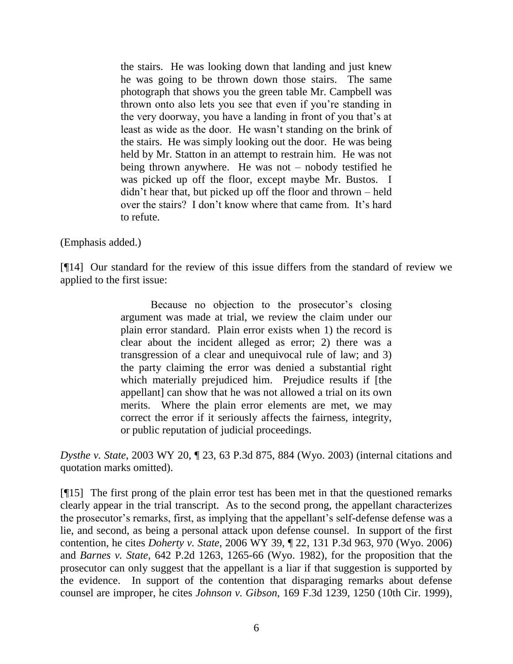the stairs. He was looking down that landing and just knew he was going to be thrown down those stairs. The same photograph that shows you the green table Mr. Campbell was thrown onto also lets you see that even if you're standing in the very doorway, you have a landing in front of you that's at least as wide as the door. He wasn't standing on the brink of the stairs. He was simply looking out the door. He was being held by Mr. Statton in an attempt to restrain him. He was not being thrown anywhere. He was not – nobody testified he was picked up off the floor, except maybe Mr. Bustos. I didn't hear that, but picked up off the floor and thrown – held over the stairs? I don't know where that came from. It's hard to refute.

(Emphasis added.)

[¶14] Our standard for the review of this issue differs from the standard of review we applied to the first issue:

> Because no objection to the prosecutor's closing argument was made at trial, we review the claim under our plain error standard. Plain error exists when 1) the record is clear about the incident alleged as error; 2) there was a transgression of a clear and unequivocal rule of law; and 3) the party claiming the error was denied a substantial right which materially prejudiced him. Prejudice results if [the appellant] can show that he was not allowed a trial on its own merits. Where the plain error elements are met, we may correct the error if it seriously affects the fairness, integrity, or public reputation of judicial proceedings.

*Dysthe v. State*, 2003 WY 20, ¶ 23, 63 P.3d 875, 884 (Wyo. 2003) (internal citations and quotation marks omitted).

[¶15] The first prong of the plain error test has been met in that the questioned remarks clearly appear in the trial transcript. As to the second prong, the appellant characterizes the prosecutor's remarks, first, as implying that the appellant's self-defense defense was a lie, and second, as being a personal attack upon defense counsel. In support of the first contention, he cites *Doherty v. State*, 2006 WY 39, ¶ 22, 131 P.3d 963, 970 (Wyo. 2006) and *Barnes v. State*, 642 P.2d 1263, 1265-66 (Wyo. 1982), for the proposition that the prosecutor can only suggest that the appellant is a liar if that suggestion is supported by the evidence. In support of the contention that disparaging remarks about defense counsel are improper, he cites *Johnson v. Gibson*, 169 F.3d 1239, 1250 (10th Cir. 1999),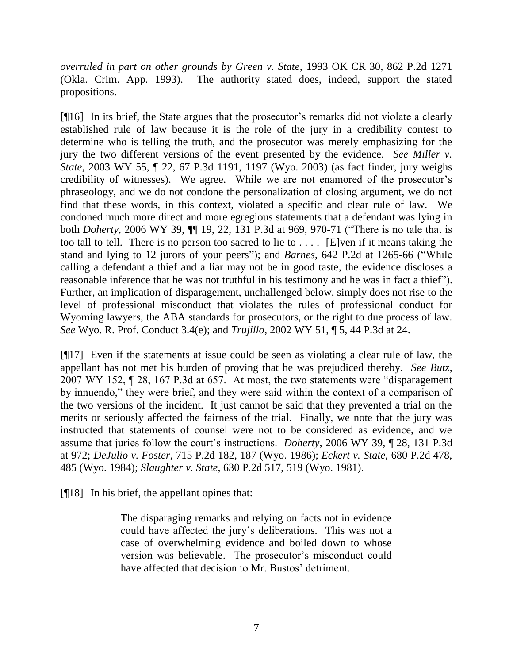*overruled in part on other grounds by Green v. State*, 1993 OK CR 30, 862 P.2d 1271 (Okla. Crim. App. 1993). The authority stated does, indeed, support the stated propositions.

[¶16] In its brief, the State argues that the prosecutor's remarks did not violate a clearly established rule of law because it is the role of the jury in a credibility contest to determine who is telling the truth, and the prosecutor was merely emphasizing for the jury the two different versions of the event presented by the evidence. *See Miller v. State*, 2003 WY 55, ¶ 22, 67 P.3d 1191, 1197 (Wyo. 2003) (as fact finder, jury weighs credibility of witnesses). We agree. While we are not enamored of the prosecutor's phraseology, and we do not condone the personalization of closing argument, we do not find that these words, in this context, violated a specific and clear rule of law. We condoned much more direct and more egregious statements that a defendant was lying in both *Doherty*, 2006 WY 39,  $\P$ [19, 22, 131 P.3d at 969, 970-71 ("There is no tale that is too tall to tell. There is no person too sacred to lie to  $\dots$ . [E]ven if it means taking the stand and lying to 12 jurors of your peers"); and *Barnes*, 642 P.2d at 1265-66 ("While calling a defendant a thief and a liar may not be in good taste, the evidence discloses a reasonable inference that he was not truthful in his testimony and he was in fact a thief"). Further, an implication of disparagement, unchallenged below, simply does not rise to the level of professional misconduct that violates the rules of professional conduct for Wyoming lawyers, the ABA standards for prosecutors, or the right to due process of law. *See* Wyo. R. Prof. Conduct 3.4(e); and *Trujillo*, 2002 WY 51, ¶ 5, 44 P.3d at 24.

[¶17] Even if the statements at issue could be seen as violating a clear rule of law, the appellant has not met his burden of proving that he was prejudiced thereby. *See Butz*, 2007 WY 152,  $\P$  28, 167 P.3d at 657. At most, the two statements were "disparagement" by innuendo," they were brief, and they were said within the context of a comparison of the two versions of the incident. It just cannot be said that they prevented a trial on the merits or seriously affected the fairness of the trial. Finally, we note that the jury was instructed that statements of counsel were not to be considered as evidence, and we assume that juries follow the court's instructions. *Doherty*, 2006 WY 39, ¶ 28, 131 P.3d at 972; *DeJulio v. Foster*, 715 P.2d 182, 187 (Wyo. 1986); *Eckert v. State,* 680 P.2d 478, 485 (Wyo. 1984); *Slaughter v. State*, 630 P.2d 517, 519 (Wyo. 1981).

[¶18] In his brief, the appellant opines that:

The disparaging remarks and relying on facts not in evidence could have affected the jury's deliberations. This was not a case of overwhelming evidence and boiled down to whose version was believable. The prosecutor's misconduct could have affected that decision to Mr. Bustos' detriment.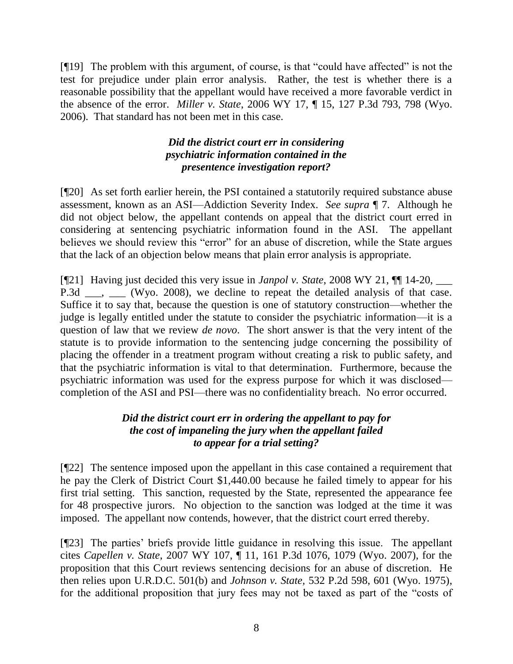$[$ [[19] The problem with this argument, of course, is that "could have affected" is not the test for prejudice under plain error analysis. Rather, the test is whether there is a reasonable possibility that the appellant would have received a more favorable verdict in the absence of the error. *Miller v. State*, 2006 WY 17, ¶ 15, 127 P.3d 793, 798 (Wyo. 2006). That standard has not been met in this case.

# *Did the district court err in considering psychiatric information contained in the presentence investigation report?*

[¶20] As set forth earlier herein, the PSI contained a statutorily required substance abuse assessment, known as an ASI—Addiction Severity Index. *See supra* ¶ 7. Although he did not object below, the appellant contends on appeal that the district court erred in considering at sentencing psychiatric information found in the ASI. The appellant believes we should review this "error" for an abuse of discretion, while the State argues that the lack of an objection below means that plain error analysis is appropriate.

[¶21] Having just decided this very issue in *Janpol v. State*, 2008 WY 21, ¶¶ 14-20, \_\_\_ P.3d  $\ldots$ ,  $\ldots$  (Wyo. 2008), we decline to repeat the detailed analysis of that case. Suffice it to say that, because the question is one of statutory construction—whether the judge is legally entitled under the statute to consider the psychiatric information—it is a question of law that we review *de novo*. The short answer is that the very intent of the statute is to provide information to the sentencing judge concerning the possibility of placing the offender in a treatment program without creating a risk to public safety, and that the psychiatric information is vital to that determination. Furthermore, because the psychiatric information was used for the express purpose for which it was disclosed completion of the ASI and PSI—there was no confidentiality breach. No error occurred.

# *Did the district court err in ordering the appellant to pay for the cost of impaneling the jury when the appellant failed to appear for a trial setting?*

[¶22] The sentence imposed upon the appellant in this case contained a requirement that he pay the Clerk of District Court \$1,440.00 because he failed timely to appear for his first trial setting. This sanction, requested by the State, represented the appearance fee for 48 prospective jurors. No objection to the sanction was lodged at the time it was imposed. The appellant now contends, however, that the district court erred thereby.

[¶23] The parties' briefs provide little guidance in resolving this issue. The appellant cites *Capellen v. State*, 2007 WY 107, ¶ 11, 161 P.3d 1076, 1079 (Wyo. 2007), for the proposition that this Court reviews sentencing decisions for an abuse of discretion. He then relies upon U.R.D.C. 501(b) and *Johnson v. State,* 532 P.2d 598, 601 (Wyo. 1975), for the additional proposition that jury fees may not be taxed as part of the "costs of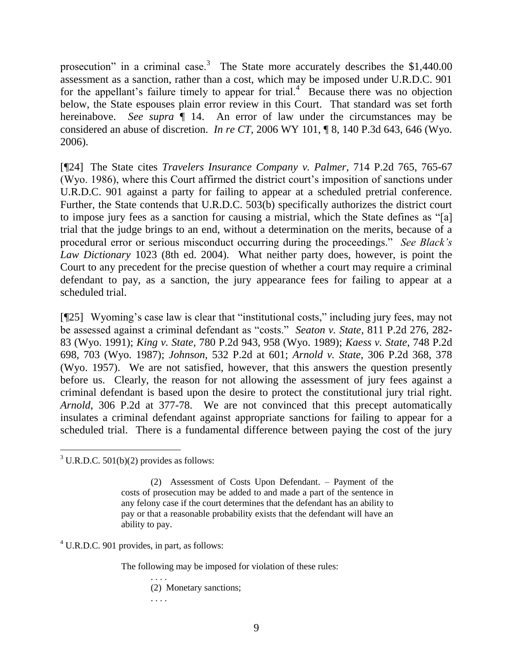prosecution" in a criminal case.<sup>3</sup> The State more accurately describes the  $$1,440.00$ assessment as a sanction, rather than a cost, which may be imposed under U.R.D.C. 901 for the appellant's failure timely to appear for trial.<sup>4</sup> Because there was no objection below, the State espouses plain error review in this Court. That standard was set forth hereinabove. *See supra* ¶ 14. An error of law under the circumstances may be considered an abuse of discretion. *In re CT*, 2006 WY 101, ¶ 8, 140 P.3d 643, 646 (Wyo. 2006).

[¶24] The State cites *Travelers Insurance Company v. Palmer*, 714 P.2d 765, 765-67 (Wyo. 1986), where this Court affirmed the district court's imposition of sanctions under U.R.D.C. 901 against a party for failing to appear at a scheduled pretrial conference. Further, the State contends that U.R.D.C. 503(b) specifically authorizes the district court to impose jury fees as a sanction for causing a mistrial, which the State defines as "[a] trial that the judge brings to an end, without a determination on the merits, because of a procedural error or serious misconduct occurring during the proceedings." *See Black's Law Dictionary* 1023 (8th ed. 2004). What neither party does, however, is point the Court to any precedent for the precise question of whether a court may require a criminal defendant to pay, as a sanction, the jury appearance fees for failing to appear at a scheduled trial.

 $[925]$  Wyoming's case law is clear that "institutional costs," including jury fees, may not be assessed against a criminal defendant as "costs." *Seaton v. State*, 811 P.2d 276, 282-83 (Wyo. 1991); *King v. State*, 780 P.2d 943, 958 (Wyo. 1989); *Kaess v. State*, 748 P.2d 698, 703 (Wyo. 1987); *Johnson*, 532 P.2d at 601; *Arnold v. State*, 306 P.2d 368, 378 (Wyo. 1957). We are not satisfied, however, that this answers the question presently before us. Clearly, the reason for not allowing the assessment of jury fees against a criminal defendant is based upon the desire to protect the constitutional jury trial right. *Arnold*, 306 P.2d at 377-78. We are not convinced that this precept automatically insulates a criminal defendant against appropriate sanctions for failing to appear for a scheduled trial. There is a fundamental difference between paying the cost of the jury

 $3$  U.R.D.C.  $501(b)(2)$  provides as follows:

(2) Assessment of Costs Upon Defendant. – Payment of the costs of prosecution may be added to and made a part of the sentence in any felony case if the court determines that the defendant has an ability to pay or that a reasonable probability exists that the defendant will have an ability to pay.

 $<sup>4</sup>$  U.R.D.C. 901 provides, in part, as follows:</sup>

The following may be imposed for violation of these rules:

. . . . (2) Monetary sanctions; . . . .